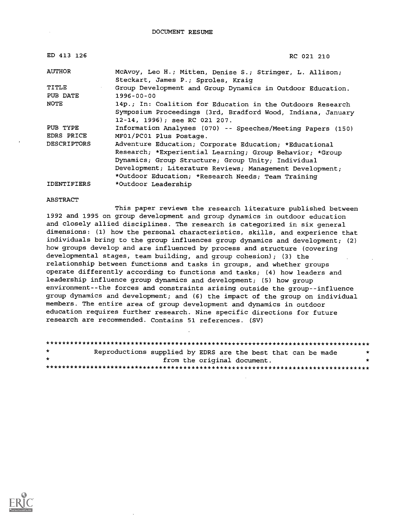DOCUMENT RESUME

| ED 413 126          | RC 021 210                                                                                                                                                                                                                                                                                 |
|---------------------|--------------------------------------------------------------------------------------------------------------------------------------------------------------------------------------------------------------------------------------------------------------------------------------------|
| <b>AUTHOR</b>       | McAvoy, Leo H.; Mitten, Denise S.; Stringer, L. Allison;<br>Steckart, James P.; Sproles, Kraig                                                                                                                                                                                             |
| TITLE<br>$\epsilon$ | Group Development and Group Dynamics in Outdoor Education.                                                                                                                                                                                                                                 |
| PUB DATE            | $1996 - 00 - 00$                                                                                                                                                                                                                                                                           |
| <b>NOTE</b>         | 14p.; In: Coalition for Education in the Outdoors Research<br>Symposium Proceedings (3rd, Bradford Wood, Indiana, January<br>12-14, 1996); see RC 021 207.                                                                                                                                 |
| PUB TYPE            | Information Analyses (070) -- Speeches/Meeting Papers (150)                                                                                                                                                                                                                                |
| EDRS PRICE          | MF01/PC01 Plus Postage.                                                                                                                                                                                                                                                                    |
| <b>DESCRIPTORS</b>  | Adventure Education; Corporate Education; *Educational<br>Research; *Experiential Learning; Group Behavior; *Group<br>Dynamics; Group Structure; Group Unity; Individual<br>Development; Literature Reviews; Management Development;<br>*Outdoor Education; *Research Needs; Team Training |
| <b>IDENTIFIERS</b>  | *Outdoor Leadership                                                                                                                                                                                                                                                                        |

ABSTRACT

This paper reviews the research literature published between 1992 and 1995 on group development and group dynamics in outdoor education and closely allied disciplines. The research is categorized in six general dimensions: (1) how the personal characteristics, skills, and experience that individuals bring to the group influences group dynamics and development; (2) how groups develop and are influenced by process and structure (covering developmental stages, team building, and group cohesion); (3) the relationship between functions and tasks in groups, and whether groups operate differently according to functions and tasks; (4) how leaders and leadership influence group dynamics and development; (5) how group environment--the forces and constraints arising outside the group--influence group dynamics and development; and (6) the impact of the group on individual members. The entire area of group development and dynamics in outdoor education requires further research. Nine specific directions for future research are recommended. Contains 51 references. (SV)

| $\star$ | Reproductions supplied by EDRS are the best that can be made |  |                             |  | $\cdot$ |
|---------|--------------------------------------------------------------|--|-----------------------------|--|---------|
| $\star$ |                                                              |  | from the original document. |  |         |
|         |                                                              |  |                             |  |         |

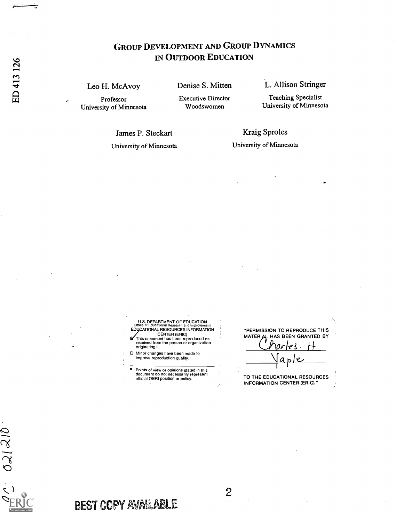# GROUP DEVELOPMENT AND GROUP DYNAMICS IN OUTDOOR EDUCATION

Leo H. McAvoy Professor

University of Minnesota

Denise S. Mitten

Executive Director Woodswomen

L. Allison Stringer

Teaching Specialist University of Minnesota

James P. Steckart

University of Minnesota

Kraig Sproles University of Minnesota

U.S. DEPARTMENT OF EDUCATION Office of Educational Research and Improvement EDUCATIONAL RESOURCES INFORMATION CENTER (ERIC) This document has been reproduced as received from the person or organization

originating it.

Minor changes have been made to improve reproduction quality.

° Points of view or opinions stated in this document do not necessarily represent official OERI position or policy.

"PERMISSION TO REPRODUCE THIS MATERIAL HAS BEEN GRANTED BY arles H  $\underline{\vee}$ a ١e

TO THE EDUCATIONAL RESOURCES INFORMATION CENTER (ERIC)."

 $021210$ 

BEST COPY AVAILABLE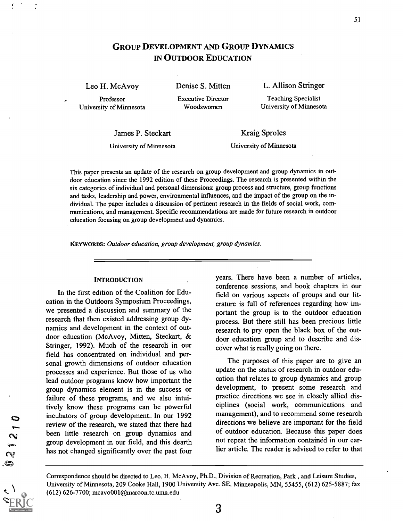## GROUP DEVELOPMENT AND GROUP DYNAMICS IN OUTDOOR EDUCATION

Leo H. McAvoy Professor

University of Minnesota

Denise S. Mitten Executive Director

Woodswomen

L. Allison Stringer

Teaching Specialist University of Minnesota

James P. Steckart

Kraig Sproles

University of Minnesota

University of Minnesota

This paper presents an update of the research on group development and group dynamics in outdoor education since the 1992 edition of these Proceedings. The research is presented within the six categories of individual and personal dimensions: group process and structure, group functions and tasks, leadership and power, environmental influences, and the impact of the group on the individual. The paper includes a discussion of pertinent research in the fields of social work, communications, and management. Specific recommendations are made for future research in outdoor education focusing on group development and dynamics.

KEYWORDS: Outdoor education, group development, group dynamics.

#### **INTRODUCTION**

In the first edition of the Coalition for Education in the Outdoors Symposium Proceedings, we presented a discussion and summary of the research that then existed addressing group dynamics and development in the context of outdoor education (McAvoy, Mitten, Steckart, & Stringer, 1992). Much of the research in our field has concentrated on individual and personal growth dimensions of outdoor education processes and experience. But those of us who lead outdoor programs know how important the group dynamics element is in the success or failure of these programs, and we also intuitively know these programs can be powerful incubators of group development.. In our 1992 review of the research, we stated that there had been little research on group dynamics and group development in our field, and this dearth has not changed significantly over the past four years. There have been a number of articles, conference sessions, and book chapters in our field on various aspects of groups and our literature is full of references regarding how important the group is to the outdoor education process. But there still has been precious little research to pry open the black box of the outdoor education group and to describe and discover what is really going on there.

The purposes of this paper are to give an update on the status of research in outdoor education that relates to group dynamics and group development, to present some research and practice directions we see in closely allied disciplines (social work, communications and management), and to recommend some research directions we believe are important for the field of outdoor education. Because this paper does not repeat the information contained in our earlier article. The reader is advised to refer to that

Correspondence should be directed to Leo. H. McAvoy, Ph.D., Division of Recreation, Park , and Leisure Studies, University of Minnesota, 209 Cooke Hall, 1900 University Ave. SE, Minneapolis, MN, 55455, (612) 625-5887; fax (612) 626-7700; mcavo001@maroon.tc.umn.edu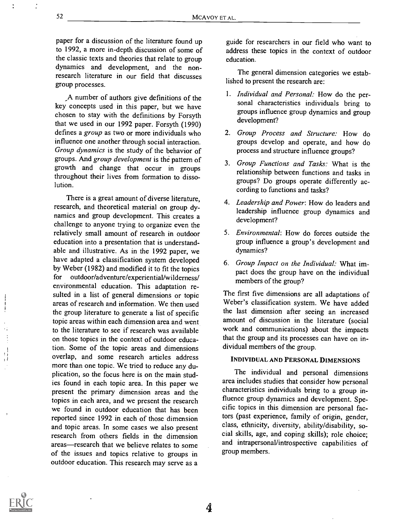4

paper for a discussion of the literature found up to 1992, a more in-depth discussion of some of the classic texts and theories that relate to group dynamics and development, and the nonresearch literature in our field that discusses group processes.

,A number of authors give definitions of the key concepts used in this paper, but we have chosen to stay with the definitions by Forsyth that we used in our 1992 paper. Forsyth (1990) defines a group as two or more individuals who influence one another through social interaction. Group dynamics is the study of the behavior of groups. And group development is the pattern of growth and change that occur in groups throughout their lives from formation to dissolution.

There is a great amount of diverse literature, research, and theoretical material on group dynamics and group development. This creates a challenge to anyone trying to organize even the relatively small amount of research in outdoor education into a presentation that is understandable and illustrative. As in the 1992 paper, we have adapted a classification system developed by Weber (1982) and modified it to fit the topics for outdoor/adventure/experiential/wilderness/ environmental education. This adaptation resulted in a list of general dimensions or topic areas of research and information. We then used the group literature to generate a list of specific topic areas within each dimension area and went to the literature to see if research was available on those topics in the context of outdoor education. Some of the topic areas and dimensions overlap, and some research articles address more than one topic. We tried to reduce any duplication, so the focus here is on the main studies found in each topic area. In this paper we present the primary dimension areas and the topics in each area, and we present the research we found in outdoor education that has been reported since 1992 in each of those dimension and topic areas. In some cases we also present research from others fields in the dimension areas—research that we believe relates to some of the issues and topics relative to groups in outdoor education. This research may serve as a

guide for researchers in our field who want to address these topics in the context of outdoor education.

The general dimension categories we established to present the research are:

- 1. Individual and Personal: How do the personal characteristics individuals bring to groups influence group dynamics and group development?
- 2. Group Process and Structure: How do groups develop and operate, and how do process and structure influence groups?
- 3. Group Functions and Tasks: What is the relationship between functions and tasks in groups? Do groups operate differently according to functions and tasks?
- 4. Leadership and Power: How do leaders and leadership influence group dynamics and development?
- 5. Environmental: How do forces outside the group influence a group's development and dynamics?
- 6. Group Impact on the Individual: What impact does the group have on the individual members of the group?

The first five dimensions are all adaptations of Weber's classification system. We have added the last dimension after seeing an increased amount of discussion in the literature (social work and communications) about the impacts that the group and its processes can have on individual members of the group.

#### INDIVIDUAL AND PERSONAL DIMENSIONS

The individual and personal dimensions area includes studies that consider how personal characteristics individuals bring to a group influence group dynamics and development. Specific topics in this dimension are personal factors (past experience, family of origin, gender, class, ethnicity, diversity, ability/disability, social skills, age, and coping skills); role choice; and intrapersonal/introspective capabilities of group members.



÷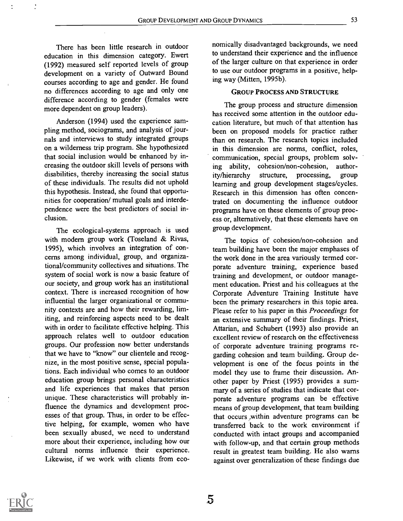There has been little research in outdoor education in this dimension category. Ewert (1992) measured self reported levels of group development on a variety of Outward Bound courses according to age and gender. He found no differences according to age and only one difference according to gender (females were more dependent on group leaders).

Anderson (1994) used the experience sampling method, sociograms, and analysis of journals and interviews to study integrated groups on a wilderness trip program. She hypothesized that social inclusion would be enhanced by increasing the outdoor skill levels of persons with disabilities, thereby increasing the social status of these individuals. The results did not uphold this hypothesis. Instead, she found that opportunities for cooperation/ mutual goals and interdependence were the best predictors of social inclusion.

The ecological-systems approach is used with modern group work (Toseland & Rivas, 1995), which involves an integration of concerns among individual, group, and organizational/community collectives and situations. The system of social work is now a basic feature of our society, and group work has an institutional context. There is increased recognition of how influential the larger organizational or community contexts are and how their rewarding, limiting, and reinforcing aspects need to be dealt with in order to facilitate effective helping. This approach relates well to outdoor education groups. Our profession now better understands that we have to "know" our clientele and recognize, in the most positive sense, special populations. Each individual who comes to an outdoor education group brings personal characteristics and life experiences that makes that person unique. These characteristics will probably influence the dynamics and development processes of that group. Thus, in order to be effective helping, for example, women who have been sexually abused, we need to understand more about their experience, including how our cultural norms influence their experience. Likewise, if we work with clients from economically disadvantaged backgrounds, we need to understand their experience and the influence of the larger culture on that experience in order to use our outdoor programs in a positive, helping way (Mitten, 1995b).

#### GROUP PROCESS AND STRUCTURE

The group process and structure dimension has received some attention in the outdoor education literature, but much of that attention has been on proposed models for practice rather than on research. The research topics included in this dimension are norms, conflict, roles, communication, special groups, problem solving ability, cohesion/non-cohesion, authority/hierarchy structure, processing, group learning and group development stages/cycles. Research in this dimension has often concentrated on documenting the influence outdoor programs have on these elements of group process or, alternatively, that these elements have on group development.

The topics of cohesion/non-cohesion and team building have been the major emphases of the work done in the area variously termed corporate adventure training, experience based training and development, or outdoor management education. Priest and his colleagues at the Corporate Adventure Training Institute have been the primary researchers in this topic area. Please refer to his paper in this Proceedings for an extensive summary of their findings. Priest, Attarian, and Schubert (1993) also provide an excellent review of research on the effectiveness of corporate adventure training programs regarding cohesion and team building. Group development is one of the focus points in the model they use to frame their discussion. Another paper by Priest (1995) provides a summary of a series of studies that indicate that corporate adventure programs can be effective means of group development, that team building that occurs within adventure programs can be transferred back to the work environment if conducted with intact groups and accompanied with follow-up, and that certain group methods result in greatest team building. He also warns against over generalization of these findings due

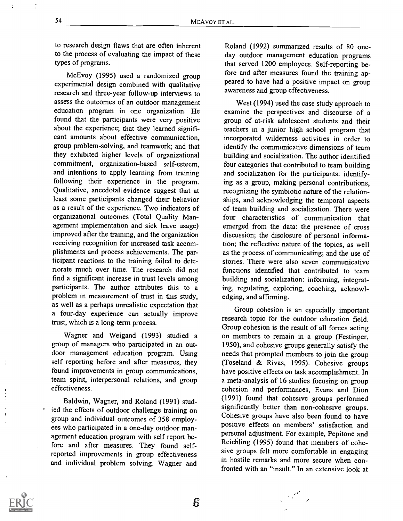to research design flaws that are often inherent to the process of evaluating the impact of these types of programs.

McEvoy (1995) used a randomized group experimental design combined with qualitative research and three-year follow-up interviews to assess the outcomes of an outdoor management education program in one organization. He found that the participants were very positive about the experience; that they learned significant amounts about effective communication, group problem-solving, and teamwork; and that they exhibited higher levels of organizational commitment, organization-based self-esteem, and intentions to apply learning from training following their experience in the program. Qualitative, anecdotal evidence suggest that at least some participants changed their behavior as a result of the experience. Two indicators of organizational outcomes (Total Quality Management implementation and sick leave usage) improved after the training, and the organization receiving recognition for increased task accomplishments and process achievements. The participant reactions to the training failed to deteriorate much over time. The research did not find a significant increase in trust levels among participants. The author attributes this to a problem in measurement of trust in this study, as well as a perhaps unrealistic expectation that a four-day experience can actually improve trust, which is a long-term process.

Wagner and Weigand (1993) studied a group of managers who participated in an outdoor management education program. Using self reporting before and after measures, they found improvements in group communications, team spirit, interpersonal relations, and group effectiveness.

Baldwin, Wagner, and Roland (1991) studied the effects of outdoor challenge training on group and individual outcomes of 358 employees who participated in a one-day outdoor management education program with self report before and after measures. They found selfreported improvements in group effectiveness and individual problem solving. Wagner and Roland (1992) summarized results of 80 oneday outdoor management education programs that served 1200 employees. Self-reporting before and after measures found the training appeared to have had a positive impact on group awareness and group effectiveness.

West (1994) used the case study approach to examine the perspectives and discourse of a group of at-risk adolescent students and their teachers in a junior high school program that incorporated wilderness activities in order to identify the communicative dimensions of team building and socialization. The author identified four categories that contributed to team building and socialization for the participants: identifying as a group, making personal contributions, recognizing the symbiotic nature of the relationships, and acknowledging the temporal aspects of team building and socialization. There were four characteristics of communication that emerged from the data: the presence of cross discussion; the disclosure of personal information; the reflective nature of the topics, as well as the process of communicating; and the use of stories. There were also seven communicative functions identified that contributed to team building and socialization: informing, integrating, regulating, exploring, coaching, acknowledging, and affirming.

Group cohesion is an especially important research topic for the outdoor education field. Group cohesion is the result of all forces acting on members to remain in a group (Festinger, 1950), and cohesive groups generally satisfy the needs that prompted members to join the group (Toseland & Rivas, 1995). Cohesive groups have positive effects on task accomplishment. In a meta-analysis of 16 studies focusing on group cohesion and performances, Evans and Dion (1991) found that cohesive groups performed significantly better than non-cohesive groups. Cohesive groups have also been found to have positive effects on members' satisfaction and personal adjustment. For example, Pepitone and Reichling (1995) found that members of cohesive groups felt more comfortable in engaging in hostile remarks and more secure when confronted with an "insult." In an extensive look at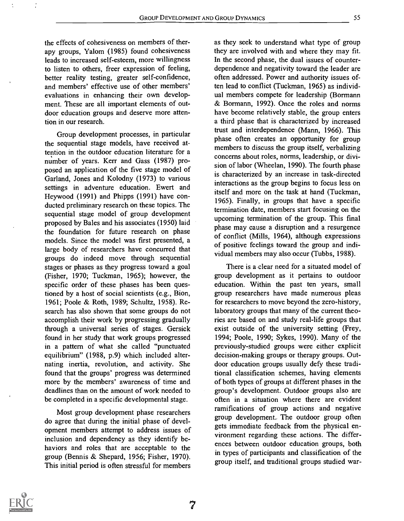the effects of cohesiveness on members of therapy groups, Yalom (1985) found cohesiveness leads to increased self-esteem, more willingness to listen to others, freer expression of feeling, better reality testing, greater self-confidence, and members' effective use of other members' evaluations in enhancing their own development. These are all important elements of outdoor education groups and deserve more attention in our research.

Group development processes, in particular the sequential stage models, have received attention in the outdoor education literature for a number of years. Kerr and Gass (1987) proposed an application of the five stage model of Garland, Jones and Kolodny (1973) to various settings in adventure education. Ewert and Heywood (1991) and Phipps (1991) have conducted preliminary research on these topics. The sequential stage model of group development proposed by Bales and his associates (1950) laid the foundation for future research on phase models. Since the model was first presented, a large body of researchers have concurred that groups do indeed move through sequential stages or phases as they progress toward a goal (Fisher, 1970; Tuckman, 1965); however, the specific order of these phases has been questioned by a host of social scientists (e.g., Bion, 1961; Poole & Roth, 1989; Schultz, 1958). Research has also shown that some groups do not accomplish their work by progressing gradually through a universal series of stages. Gersick found in her study that work groups progressed in a pattern of what she called "punctuated equilibrium" (1988, p.9) which included alternating inertia, revolution, and activity. She found that the groups' progress was determined more by the members' awareness of time and deadlines than on the amount of work needed to be completed in a specific developmental stage.

Most group development phase researchers do agree that during the initial phase of development members attempt to address issues of inclusion and dependency as they identify behaviors and roles that are acceptable to the group (Bennis & Shepard, 1956; Fisher, 1970). This initial period is often stressful for members as they seek to understand what type of group they are involved with and where they may fit. In the second phase, the dual issues of counterdependence and negativity toward the leader are often addressed. Power and authority issues often lead to conflict (Tuckman, 1965) as individual members compete for leadership (Bormann & Bormann, 1992). Once the roles and norms have become relatively stable, the group enters a third phase that is characterized by increased trust and interdependence (Mann, 1966). This phase often creates an opportunity for group members to discuss the group itself, verbalizing concerns about roles, norms, leadership, or division of labor (Wheelan, 1990). The fourth phase is characterized by an increase in task-directed interactions as the group begins to focus less on itself and more on the task at hand (Tuckman, 1965). Finally, in groups that have a specific termination date, members start focusing on the upcoming termination of the group. This final phase may cause a disruption and a resurgence of conflict (Mills, 1964), although expressions of positive feelings toward the group and individual members may also occur (Tubbs, 1988).

There is a clear need for a situated model of group development as it pertains to outdoor education. Within the past ten years, small group researchers have made numerous pleas for researchers to move beyond the zero-history, laboratory groups that many of the current theories are based on and study real-life groups that exist outside of the university setting (Frey, 1994; Poole, 1990; Sykes, 1990). Many of the previously-studied groups were either explicit decision-making groups or therapy groups. Outdoor education groups usually defy these traditional classification schemes, having elements of both types of groups at different phases in the group's development. Outdoor groups also are often in a situation where there are evident ramifications of group actions and negative group development.. The outdoor group often gets immediate feedback from the physical environment regarding these actions. The differences between outdoor education groups, both in types of participants and classification of the group itself, and traditional groups studied war-

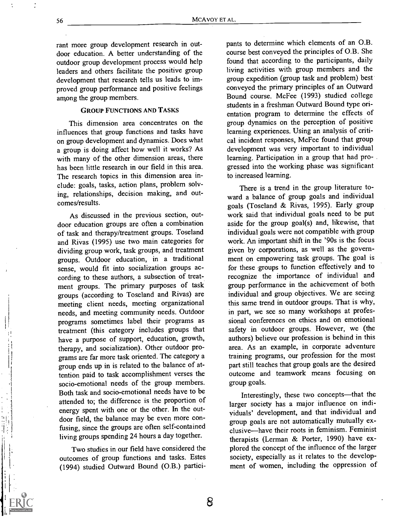rant more group development research in outdoor education. A better understanding of the outdoor group development process would help leaders and others facilitate the positive group development that research tells us leads to improved group performance and positive feelings among the group members.

#### GROUP FUNCTIONS AND TASKS

This dimension area concentrates on the influences that group functions and tasks have on group development and dynamics. Does what a group is doing affect how well it works? As with many of the other dimension areas, there has been little research in our field in this area. The research topics in this dimension area include: goals, tasks, action plans, problem solving, relationships, decision making, and outcomes/results.

As discussed in the previous section, outdoor education groups are often a combination of task and therapy/treatment groups. Toseland and Rivas (1995) use two main categories for dividing group work, task groups, and treatment groups. Outdoor education, in a traditional sense, would fit into socialization groups according to these authors, a subsection of treatment groups. The primary purposes of task groups (according to Toseland and Rivas) are meeting client needs, meeting organizational needs, and meeting community needs. Outdoor programs sometimes label their programs as treatment (this category includes groups that have a purpose of support, education, growth, therapy, and socialization). Other outdoor programs are far more task oriented. The category a group ends up in is related to the balance of attention paid to task accomplishment verses the socio-emotional needs of the group members. Both task and socio-emotional needs have to be attended to; the difference is the proportion of energy spent with one or the other. In the outdoor field, the balance may be even more confusing, since the groups are often self-contained living groups spending 24 hours a day together.

Two studies in our field have considered the outcomes of group functions and tasks. Estes (1994) studied Outward Bound (O.B.) participants to determine which elements of an O.B. course best conveyed the principles of O.B. She found that according to the participants, daily living activities with group members and the group expedition (group task and problem) best conveyed the primary principles of an Outward Bound course. McFee (1993) studied college students in a freshman Outward Bound type orientation program to determine the effects of group dynamics on the perception of positive learning experiences. Using an analysis of critical incident responses, McFee found that group development was very important to individual learning. Participation in a group that had progressed into the working phase was significant to increased learning.

There is a trend in the group literature toward a balance of group goals and individual goals (Toseland & Rivas, 1995). Early group work said that individual goals need to be put aside for the group goal(s) and, likewise, that individual goals were not compatible with group work. An important shift in the '90s is the focus given by corporations, as well as the government on empowering task groups. The goal is for these groups to function effectively and to recognize the importance of individual and group performance in the achievement of both individual and group objectives. We are seeing this same trend in outdoor groups. That is why, in part, we see so many workshops at professional conferences on ethics and on emotional safety in outdoor groups. However, we (the authors) believe our profession is behind in this area. As an example, in corporate adventure training programs, our profession for the most part still teaches that group goals are the desired outcome and teamwork means focusing on group goals.

Interestingly, these two concepts—that the larger society has a major influence on individuals' development, and that individual and group goals are not automatically mutually exclusive—have their roots in feminism. Feminist therapists (Lerman & Porter, 1990) have explored the concept of the influence of the larger society, especially as it relates to the development of women, including the oppression of

it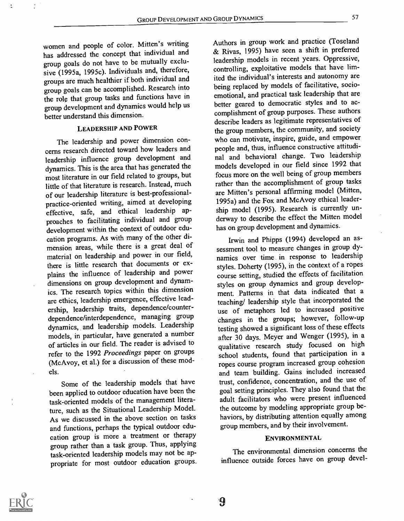women and people of color. Mitten's writing has addressed the concept that individual and group goals do not have to be mutually exclusive (1995a, 1995c). Individuals and, therefore, groups are much healthier if both individual and group goals can be accomplished. Research into the role that group tasks and functions have in group development and dynamics would help us better understand this dimension.

## LEADERSHIP AND POWER

The leadership and power dimension concerns research directed toward how leaders and leadership influence group development and dynamics. This is the area that has generated the most literature in our field related to groups, but little of that literature is research. Instead, much of our leadership literature is best-professionalpractice-oriented writing, aimed at developing effective, safe, and ethical leadership approaches to facilitating individual and group development within the context of outdoor education programs. As with many of the other dimension areas, while there is a great deal of material on leadership and power in our field, there is little research that documents or explains the influence of leadership and power dimensions on group development and dynamics. The research topics within this dimension are ethics, leadership emergence, effective leadership, leadership traits, dependence/counterdependence/interdependence, managing group dynamics, and leadership models. Leadership models, in particular, have generated a number of articles in our field. The reader is advised to refer to the 1992 Proceedings paper on groups (McAvoy, et al.) for a discussion of these models.

Some of the leadership models that have been applied to outdoor education have been the task-oriented models of the management literature, such as the Situational Leadership Model. As we discussed in the above section on tasks and functions, perhaps the typical outdoor education group is more a treatment or therapy group rather than a task group. Thus, applying task-oriented leadership models may not be appropriate for most outdoor education groups. Authors in group work and practice (Toseland & Rivas, 1995) have seen a shift in preferred leadership models in recent years. Oppressive, controlling, exploitative models that have limited the individual's interests and autonomy are being replaced by models of facilitative, socioemotional, and practical task leadership that are better geared to democratic styles and to accomplishment of group purposes. These authors describe leaders as legitimate representatives of the group members, the community, and society who can motivate, inspire, guide, and empower people and, thus, influence constructive attitudinal and behavioral change. Two leadership models developed in our field since 1992 that focus more on the well being of group members rather than the accomplishment of group tasks are Mitten's personal affirming model (Mitten, 1995a) and the Fox and McAvoy ethical leadership model (1995). Research is currently underway to describe the effect the Mitten model has on group development and dynamics.

Irwin and Phipps (1994) developed an assessment tool to measure changes in group dynamics over time in response to leadership styles. Doherty (1995), in the context of a ropes course setting, studied the effects of facilitation styles on group dynamics and group development. Patterns in that data indicated that a teaching/ leadership style that incorporated the use of metaphors led to increased positive changes in the groups; however, follow-up testing showed a significant loss of these effects after 30 days. Meyer and Wenger (1995), in a qualitative research study focused on high school students, found that participation in a ropes course program increased group cohesion and team building. Gains included increased trust, confidence, concentration, and the use of goal setting principles. They also found that the adult facilitators who were present influenced the outcome by modeling appropriate group behaviors, by distributing attention equally among group members, and by their involvement.

#### ENVIRONMENTAL

The environmental dimension concerns the influence outside forces have on group devel-

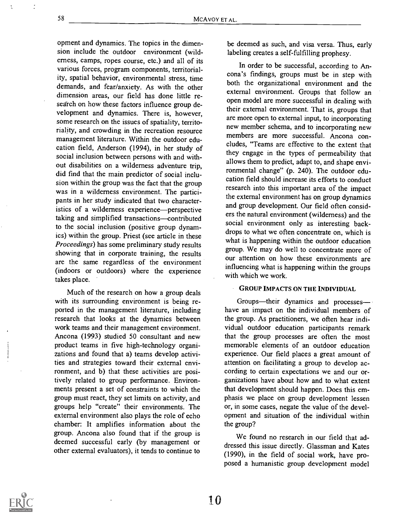opment and dynamics. The topics in the dimension include the outdoor environment (wilderness, camps, ropes course, etc.) and all of its various forces, program components, territoriality, spatial behavior, environmental stress, time demands, and fear/anxiety. As with the other dimension areas, our field has done little research on how these factors influence group development and dynamics. There is, however, some research on the issues of spatiality, territoriality, and crowding in the recreation resource management literature. Within the outdoor education field, Anderson (1994), in her study of social inclusion between persons with and without disabilities on a wilderness adventure trip, did find that the main predictor of social inclusion within the group was the fact that the group was in a wilderness environment. The participants in her study indicated that two characteristics of a wilderness experience-perspective taking and simplified transactions-contributed to the social inclusion (positive group dynamics) within the group. Priest (see article in these Proceedings) has some preliminary study results showing that in corporate training, the results are the same regardless of the environment (indoors or outdoors) where the experience takes place.

Much of the research on how a group deals with its surrounding environment is being reported in the management literature, including research that looks at the dynamics between work teams and their management environment. Ancona (1993) studied 50 consultant and new product teams in five high-technology organizations and found that a) teams develop activities and strategies toward their external environment, and b) that these activities are positively related to group performance. Environments present a set of constraints to which the group must react, they set limits on activity, and groups help "create" their environments. The external environment also plays the role of echo chamber: It amplifies information about the group. Ancona also found that if the group is deemed successful early (by management or other external evaluators), it tends to continue to

be deemed as such, and visa versa. Thus, early labeling creates a self-fulfilling prophesy.

In order to be successful, according to Ancona's findings, groups must be in step with both the organizational environment and the external environment. Groups that follow an open model are more successful in dealing with their external environment. That is, groups that are more open to external input, to incorporating new member schema, and to incorporating new members are more successful. Ancona concludes, "Teams are effective to the extent that they engage in the types of permeability that allows them to predict, adapt to, and shape environmental change" (p. 240). The outdoor education field should increase its efforts to conduct research into this important area of the impact the external environment has on group dynamics and group development. Our field often considers the natural environment (wilderness) and the social environment only as interesting backdrops to what we often concentrate on, which is what is happening within the outdoor education group. We may do well to concentrate more of our attention on how these environments are influencing what is happening within the groups with which we work.

#### GROUP IMPACTS ON THE INDIVIDUAL

Groups-their dynamics and processeshave an impact on the individual members of the group. As practitioners, we often hear individual outdoor education participants remark that the group processes are often the most memorable elements of an outdoor education experience. Our field places a great amount of attention on facilitating a group to develop according to certain expectations we and our organizations have about how and to what extent that development should happen. Does this emphasis we place on group development lessen or, in some cases, negate the value of the development and situation of the individual within the group?

We found no research in our field that addressed this issue directly. Glassman and Kates (1990), in the field of social work, have proposed a humanistic group development model

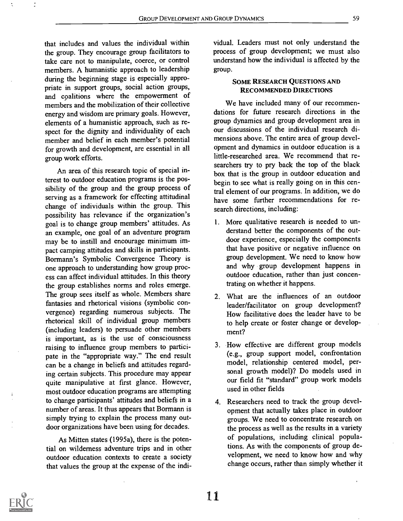the group. They encourage group facilitators to take care not to manipulate, coerce, or control members. A humanistic approach to leadership during the beginning stage is especially appropriate in support groups, social action groups, and coalitions where the empowerment of members and the mobilization of their collective energy and wisdom are primary goals. However, elements of a humanistic approach, such as respect for the dignity and individuality of each member and belief in each member's potential for growth and development, are essential in all group work efforts.

An area of this research topic of special interest to outdoor education programs is the possibility of the group and the group process of serving as a framework for effecting attitudinal change of individuals within the group. This possibility has relevance if the organization's goal is to change group members' attitudes. As an example, one goal of an adventure program may be to instill and encourage minimum impact camping attitudes and skills in participants. Bormann's Symbolic Convergence Theory is one approach to understanding how group process can affect individual attitudes. In this theory the group establishes norms and roles emerge. The group sees itself as whole. Members share fantasies and rhetorical visions (symbolic convergence) regarding numerous subjects. The rhetorical skill of individual group members (including leaders) to persuade other members is important, as is the use of consciousness raising to influence group members to participate in the "appropriate way." The end result can be a change in beliefs and attitudes regarding certain subjects. This procedure may appear quite manipulative at first glance. However, most outdoor education programs are attempting to change participants' attitudes and beliefs in a number of areas. It thus appears that Bormann is simply trying to explain the process many outdoor organizations have been using for decades.

As Mitten states (1995a), there is the potential on wilderness adventure trips and in other outdoor education contexts to create a society that values the group at the expense of the indi-

vidual. Leaders must not only understand the process of group development; we must also understand how the individual is affected by the group.

#### SOME RESEARCH QUESTIONS AND RECOMMENDED DIRECTIONS

We have included many of our recommendations for future research directions in the group dynamics and group development area in our discussions of the individual research dimensions above. The entire area of group development and dynamics in outdoor education is a little-researched area. We recommend that researchers try to pry back the top of the black box that is the group in outdoor education and begin to see what is really going on in this central element of our programs. In addition, we do have some further recommendations for research directions, including:

- 1. More qualitative research is needed to understand better the components of the outdoor experience, especially the components that have positive or negative influence on group development. We need to know how and why group development happens in outdoor education, rather than just concentrating on whether it happens.
- 2. What are the influences of an outdoor leader/facilitator on group development? How facilitative does the leader have to be to help create or foster change or development?
- 3. How effective are different group models (e.g., group support model, confrontation model, relationship centered model, personal growth model)? Do models used in our field fit "standard" group work models used in other fields
- 4. Researchers need to track the group development that actually takes place in outdoor groups. We need to concentrate research on the process as well as the results in a variety of populations, including clinical populations. As with the components of group development, we need to know how and why change occurs, rather than simply whether it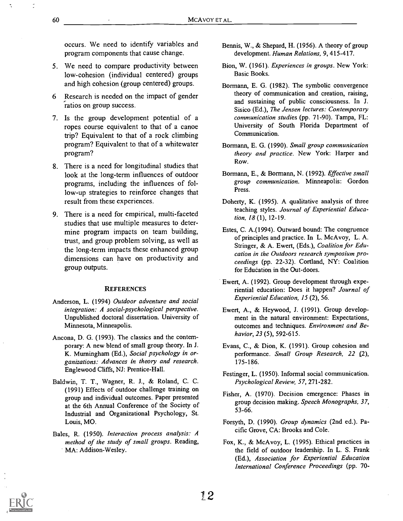occurs. We need to identify variables and program components that cause change.

- 5. We need to compare productivity between low-cohesion (individual centered) groups and high cohesion (group centered) groups.
- 6 Research is needed on the impact of gender ratios on group success.
- 7. Is the group development potential of a ropes course equivalent to that of a canoe trip? Equivalent to that of a rock climbing program? Equivalent to that of a whitewater program?
- 8. There is a need for longitudinal studies that look at the long-term influences of outdoor programs, including the influences of follow-up strategies to reinforce changes that result from these experiences.
- 9. There is a need for empirical, multi-faceted studies that use multiple measures to determine program impacts on team building, trust, and group problem solving, as well as the long-term impacts these enhanced group dimensions can have on productivity and group outputs.

#### **REFERENCES**

- Anderson, L. (1994) Outdoor adventure and social integration: A social-psychological perspective. Unpublished doctoral dissertation. University of Minnesota, Minneapolis.
- Ancona, D. G. (1993). The classics and the contemporary: A new blend of small group theory. In J. K. Murningham (Ed.), Social psychology in organizations: Advances in theory and research. Englewood Cliffs, NJ: Prentice-Hall.
- Baldwin, T. T., Wagner, R. J., & Roland, C. C. (1991) Effects of outdoor challenge training on group and individual outcomes. Paper presented at the 6th Annual Conference of the Society of Industrial and Organizational Psychology, St. Louis, MO.
- Bales, R. (1950). Interaction process analysis: A method of the study of small groups. Reading, MA: Addison-Wesley.
- Bennis, W., & Shepard, H. (1956). A theory of group development. Human Relations, 9, 415-417.
- Bion, W. (1961). Experiences in groups. New York: Basic Books.
- Bormann, E. G. (1982). The symbolic convergence theory of communication and creation, raising, and sustaining of public consciousness. In J. Sisico (Ed.), The Jensen lectures: Contemporary communication studies (pp. 71-90). Tampa, FL: University of South Florida Department of Communication.
- Bormann, E. G. (1990). Small group communication theory and practice. New York: Harper and Row.
- Bormann, E., & Bormann, N. (1992). Effective small group communication. Minneapolis: Gordon Press.
- Doherty, K. (1995). A qualitative analysis of three teaching styles. Journal of Experiential Education, 18 (1), 12-19.
- Estes, C. A.(1994). Outward bound: The congruence of principles and practice. In L. McAvoy, L. A. Stringer, & A. Ewert, (Eds.), Coalition for Education in the Outdoors research symposium proceedings (pp. 22-32). Cortland, NY: Coalition for Education in the Out-doors.
- Ewert, A. (1992). Group development through experiential education: Does it happen? Journal of Experiential Education, 15 (2), 56.
- Ewert, A., & Heywood, J. (1991). Group development in the natural environment: Expectations, outcomes and techniques. Environment and Behavior, 23 (5), 592-615.
- Evans, C., & Dion, K. (1991). Group cohesion and performance. Small Group Research, 22 (2), 175-186.
- Festinger, L. (1950). Informal social communication. Psychological Review, 57, 271-282.
- Fisher, A. (1970). Decision emergence: Phases in group decision making. Speech Monographs, 37, 53-66.
- Forsyth, D. (1990). Group dynamics (2nd ed.). Pacific Grove, CA: Brooks and Cole.
- Fox, K., & McAvoy, L. (1995). Ethical practices in the field of outdoor leadership. In L. S. Frank (Ed.), Association for Experiential Education International Conference Proceedings (pp. 70-



Ą,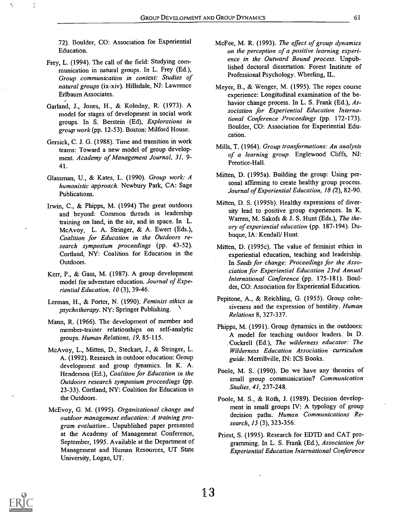72). Boulder, CO: Association for Experiential Education.

 $\frac{1}{\rho}$ 

- Frey, L. (1994). The call of the field: Studying communication in natural groups. In L. Frey (Ed.), Group communication in context: Studies of natural groups (ix-xiv). Hillsdale, NJ: Lawrence Erlbaum Associates.
- Garland, J., Jones, H., & Kolodny, R. (1973). A model for stages of development in social work groups. In S. Berstein (Ed), Explorations in group work (pp. 12-53). Boston: Milford House.
- Gersick, C. J. G. (1988). Time and transition in work teams: Toward a new model of group development. Academy of Management Journal, 31, 9- 41.
- Glassman, U., & Kates, L. (1990). Group work: A humanistic approach. Newbury Park, CA: Sage Publications.
- Irwin, C., & Phipps, M. (1994) The great outdoors and beyond: Common threads in leadership training on land, in the air, and in space. In L. McAvoy, L. A. Stringer, & A. Ewert (Eds.), Coalition for Education in the Outdoors research symposium proceedings (pp. 43-52). Cortland, NY: Coalition for Education in the Outdoors.
- Kerr, P., & Gass, M. (1987). A group development model for adventure education. Journal of Experiential Education, 10 (3), 39-46.
- Lerman, H., & Porter, N. (1990). Feminist ethics in psychotherapy. NY: Springer Publishing.
- Mann, R. (1966). The development of member and member-trainer relationships on self-analytic groups. Human Relations, 19, 85-115.
- McAvoy, L., Mitten, D., Steckart, J., & Stringer, L. A. (1992). Research in outdoor education: Group development and group dynamics. In K. A. Henderson (Ed.), Coalition for Education in the Outdoors research symposium proceedings (pp. 23-33). Cortland, NY: Coalition for Education in the Outdoors.
- McEvoy, G. M. (1995). Organizational change and outdoor management education: A training program evaluation.. Unpublished paper presented at the Academy of Management Conference, September, 1995. Available at the Department of Management and Human Resources, UT State University, Logan, UT.
- McFee, M. R. (1993). The effect of group dynamics on the perception of a positive learning experience in the Outward Bound process. Unpublished doctoral dissertation. Forest Institute of Professional Psychology. Wheeling, IL.
- Meyer, B., & Wenger, M. (1995). The ropes course experience: Longitudinal examination of the behavior change process. In L. S. Frank (Ed.), Association for Experiential Education International Conference Proceedings (pp. 172-173). Boulder, CO: Association for Experiential Education.
- Mills, T. (1964). Group transformations: An analysis of a learning group. Englewood Cliffs, NJ: Prentice-Hall.
- Mitten, D. (1995a). Building the group: Using personal affirming to create healthy group process. Journal of Experiential Education, 18 (2), 82-90.
- Mitten, D. S. (1995b). Healthy expressions of diversity lead to positive group experiences. In K. Warren, M. Sakofs & J. S. Hunt (Eds.), The theory of experiential education (pp. 187-194). Dubuque, IA: Kendall/ Hunt.
- Mitten, D. (1995c). The value of feminist ethics in experiential education, teaching and leadership. In Seeds for change: Proceedings for the Association for Experiential Education 23rd Annual International Conference (pp. 175-181). Boulder, CO: Association for Experiential Education.
- Pepitone, A., & Reichling, G. (1955). Group cohesiveness and the expression of hostility. Human Relations 8, 327-337.
- Phipps, M. (1991). Group dynamics in the outdoors: A model for teaching outdoor leaders. In D. Cockrell (Ed.), The wilderness educator: The Wilderness Education Association curriculum guide. Merrillville, IN: ICS Books.
- Poole, M. S. (1990). Do we have any theories of small group communication? Communication Studies, 41, 237-248.
- Poole, M. S., & Roth, J. (1989). Decision development in small groups IV: A typology of group decision paths. Human Communications Research, 15 (3), 323-356.
- Priest, S. (1995). Research for EDTD and CAT programming. In L. S. Frank (Ed.), Association for Experiential Education International Conference

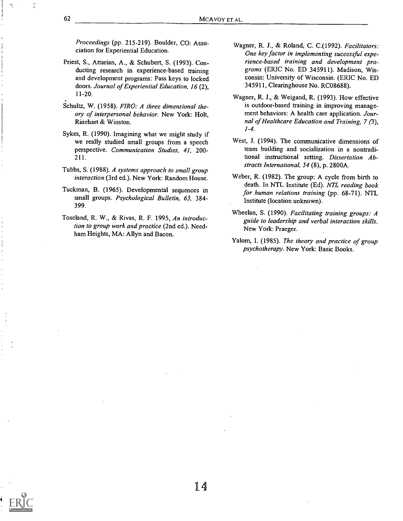14

Proceedings (pp. 215-219). Boulder, CO: Association for Experiential Education.

- Priest, S., Attarian, A., & Schubert, S. (1993). Conducting research in experience-based training and development programs: Pass keys to locked doors. Journal of Experiential Education, 16 (2), 11-20.
- Schultz, W. (1958). FIRO: A three dimensional theory of interpersonal behavior. New York: Holt, Rinehart & Winston.
- Sykes, R. (1990). Imagining what we might study if we really studied small groups from a speech perspective. Communication Studies, 41, 200- 211.
- Tubbs, S. (1988). A systems approach to small group interaction (3rd ed.). New York: Random House.
- Tuckman, B. (1965). Developmental sequences in small groups. Psychological Bulletin, 63, 384- 399.
- Toseland, R. W., & Rivas, R. F. 1995, An introduction to group work and practice (2nd ed.). Needham Heights, MA: Allyn and Bacon.
- Wagner, R. J., & Roland, C. C.(1992). Facilitators: One key factor in implementing successful experience-based training and development programs (ERIC No. ED 345911). Madison, Wisconsin: University of Wisconsin. (ERIC No. ED 345911, Clearinghouse No. RC08688).
- Wagner, R. J., & Weigand, R. (1993). How effective is outdoor-based training in improving management behaviors: A health care application. Journal of Healthcare Education and Training, 7 (3),  $1 - 4.$
- West, J. (1994). The communicative dimensions of team building and socialization in a nontraditional instructional setting. Dissertation Abstracts International, 54 (8), p. 2800A.
- Weber, R. (1982). The group: A cycle from birth to death. In NTL Institute (Ed). NTL reading book for human relations training (pp. 68-71). NTL Institute (location unknown).
- Wheelan, S. (1990). Facilitating training groups: A guide to leadership and verbal interaction skills. New York: Praeger.
- Yalom, I. (1985). The theory and practice of group psychotherapy. New York: Basic Books.

 $\ddot{\cdot}$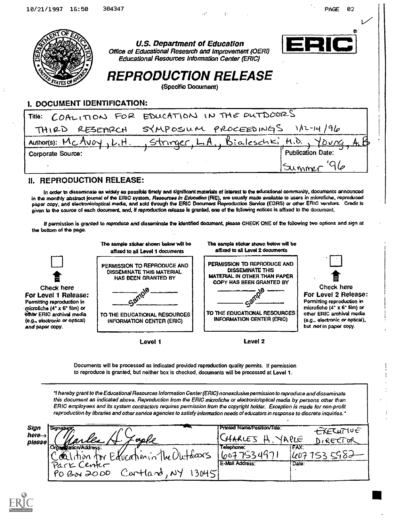## 1. DOCUMENT IDENTIFICATION:

|                   | Trile: COALITION FOR EDUCATION IN THE DUTDOORS            |
|-------------------|-----------------------------------------------------------|
|                   | THIRD RESEMPCH SYMPOSIUM PROCEEDINGS INI-14/96            |
|                   | Author(s): McAvoy, L.H., Stringer, L.A., Bialeschki M.D., |
| Corporate Source: | <b>Publication Date:</b>                                  |
|                   | $15$ ummer                                                |

### II. REPRODUCTION RELEASE:

In order to disseminate as widely as possible timely and significant materials of Interest to the educational community, documents announced in the monthly abstract journal of the ERIC system, Resources in Education (RIE), are usually made available to users in microfiche, reproduced paper copy, and electronic/optical media, and sold through the ERIC Document Reproduction Service (EDRS) or other ERIC vendors. Credit is given to the source of each document. and, If reproduction release Is granted, one of the following notices is affixed to the document.

If permission is granted to reproduce and disseminate the identified document, please CHECK ONE of the following two options and sign at the bottom of the page.



Documents will be processed as indicated provided reproduction quality permits. If permission to reproduce is granted, but neither box is checked, documents will be processed at Level 1.

1 hereby grant to the Educational Resources Information Center (ERIC) nonexclusive permission to reproduce and disseminate this document as indicated above. Reproduction from the ERIC microfiche or electronic/optical media by persons other than ERIC employees and its system contractors requires permission from the copyright holder. Exception is made for non-profit reproduction by libraries and other service agencies to satisfy information needs of educators in response to discrete inquiries."

| Sign                         | Signatum)                              | Printed Name/Position/Title: | EXECUTIVE      |
|------------------------------|----------------------------------------|------------------------------|----------------|
| here $\rightarrow$<br>please | cio V p                                |                              | APE<br>$R$ $R$ |
|                              |                                        | Telephone:                   | TEAX.          |
|                              | continum for Education in The Uluteaus |                              |                |
|                              | Park Center                            | E-Mail Address:              | : Date:        |
|                              | Cartland, NY<br>い叫ド<br>PO BON 2000     |                              |                |